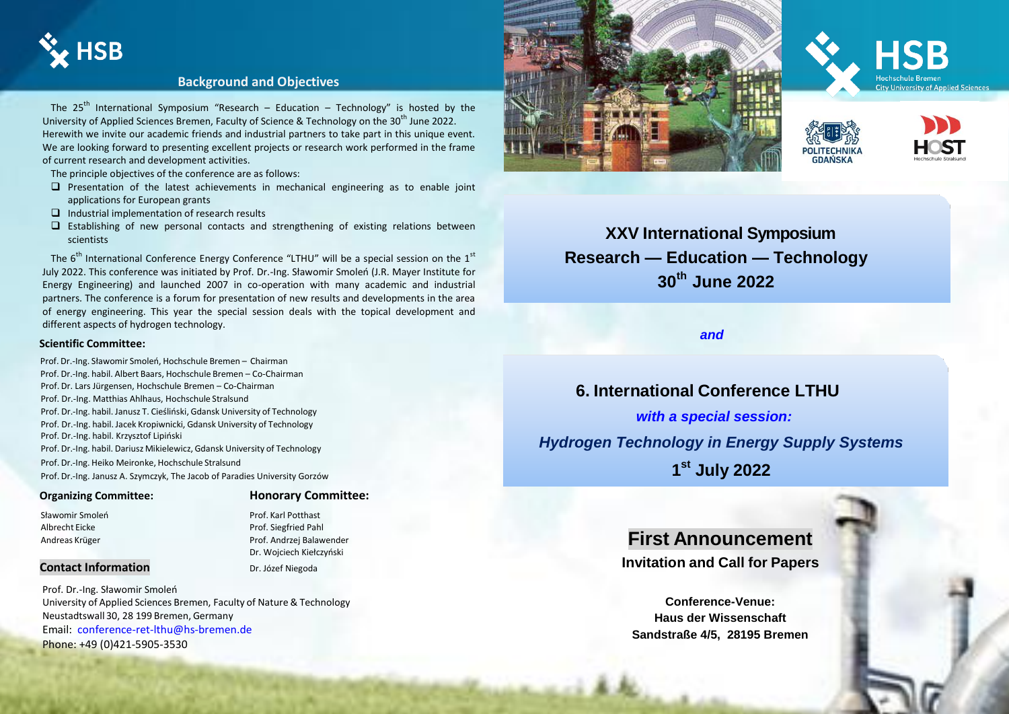

#### **Background and Objectives**

The 25<sup>th</sup> International Symposium "Research – Education – Technology" is hosted by the University of Applied Sciences Bremen, Faculty of Science & Technology on the 30<sup>th</sup> June 2022. Herewith we invite our academic friends and industrial partners to take part in this unique event. We are looking forward to presenting excellent projects or research work performed in the frame of current research and development activities.

The principle objectives of the conference are as follows:

- $\square$  Presentation of the latest achievements in mechanical engineering as to enable joint applications for European grants
- $\Box$  Industrial implementation of research results
- $\square$  Establishing of new personal contacts and strengthening of existing relations between scientists

The 6<sup>th</sup> International Conference Energy Conference "LTHU" will be a special session on the 1<sup>st</sup> July 2022. This conference was initiated by Prof. Dr.-Ing. Sławomir Smoleń (J.R. Mayer Institute for Energy Engineering) and launched 2007 in co-operation with many academic and industrial partners. The conference is a forum for presentation of new results and developments in the area of energy engineering. This year the special session deals with the topical development and different aspects of hydrogen technology.

#### **Scientific Committee:**

 Prof. Dr.-Ing. Sławomir Smoleń, Hochschule Bremen – Chairman Prof. Dr.-Ing. habil. Albert Baars, Hochschule Bremen – Co-Chairman Prof. Dr. Lars Jürgensen, Hochschule Bremen – Co-Chairman Prof. Dr.-Ing. Matthias Ahlhaus, Hochschule Stralsund Prof. Dr.-Ing. habil. Janusz T. Cieśliński, Gdansk University of Technology Prof. Dr.-Ing. habil. Jacek Kropiwnicki, Gdansk University of Technology Prof. Dr.-Ing. habil. Krzysztof Lipiński Prof. Dr.-Ing. habil. Dariusz Mikielewicz, Gdansk University of Technology Prof. Dr.-Ing. Heiko Meironke, Hochschule Stralsund Prof. Dr.-Ing. Janusz A. Szymczyk, The Jacob of Paradies University Gorzów

#### **Organizing Committee: Honorary Committee:**

Sławomir Smoleń **Prof. Karl Potthast** Albrecht Eicke Prof. Siegfried Pahl Andreas Krüger Prof. Andreas Krüger Prof. Andreas Krüger Prof. Andreas Krüger Prof. Andreas Prof. Andreas Prof. Andreas Prof. Andreas Prof. Andreas Prof. Andreas Prof. Andreas Prof. Andreas Prof. Andreas Prof. Andreas Prof Dr. Wojciech Kiełczyński

**Contact Information** Dr. Józef Niegoda

Prof. Dr.-Ing. Sławomir Smoleń University of Applied Sciences Bremen, Faculty of Nature & Technology Neustadtswall 30, 28 199 Bremen, Germany Email: [conference-ret-lthu@hs-bremen.de](mailto:conference-ret-lthu@hs-bremen.de) Phone: +49 (0)421-5905-3530









**XXV International Symposium Research — Education — Technology 30th June 2022**

*and*

# **6. International Conference LTHU**

*with a special session: Hydrogen Technology in Energy Supply Systems* **1 st July 2022**

# **First Announcement Invitation and Call for Papers**

**Conference-Venue: Haus der Wissenschaft Sandstraße 4/5, 28195 Bremen**